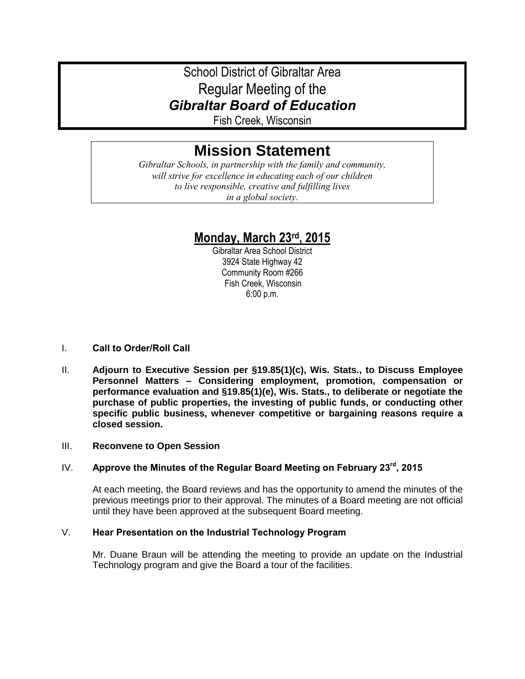# School District of Gibraltar Area Regular Meeting of the *Gibraltar Board of Education*

Fish Creek, Wisconsin

# **Mission Statement**

*Gibraltar Schools, in partnership with the family and community, will strive for excellence in educating each of our children to live responsible, creative and fulfilling lives in a global society.*

# **Monday, March 23rd, 2015**

Gibraltar Area School District 3924 State Highway 42 Community Room #266 Fish Creek, Wisconsin 6:00 p.m.

# I. **Call to Order/Roll Call**

II. **Adjourn to Executive Session per §19.85(1)(c), Wis. Stats., to Discuss Employee Personnel Matters – Considering employment, promotion, compensation or performance evaluation and §19.85(1)(e), Wis. Stats., to deliberate or negotiate the purchase of public properties, the investing of public funds, or conducting other specific public business, whenever competitive or bargaining reasons require a closed session.** 

# III. **Reconvene to Open Session**

# IV. **Approve the Minutes of the Regular Board Meeting on February 23rd, 2015**

At each meeting, the Board reviews and has the opportunity to amend the minutes of the previous meetings prior to their approval. The minutes of a Board meeting are not official until they have been approved at the subsequent Board meeting.

# V. **Hear Presentation on the Industrial Technology Program**

Mr. Duane Braun will be attending the meeting to provide an update on the Industrial Technology program and give the Board a tour of the facilities.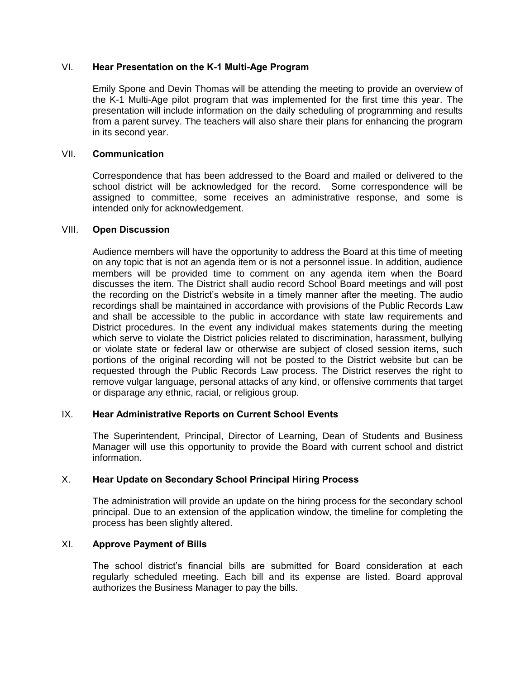#### VI. **Hear Presentation on the K-1 Multi-Age Program**

Emily Spone and Devin Thomas will be attending the meeting to provide an overview of the K-1 Multi-Age pilot program that was implemented for the first time this year. The presentation will include information on the daily scheduling of programming and results from a parent survey. The teachers will also share their plans for enhancing the program in its second year.

#### VII. **Communication**

Correspondence that has been addressed to the Board and mailed or delivered to the school district will be acknowledged for the record. Some correspondence will be assigned to committee, some receives an administrative response, and some is intended only for acknowledgement.

#### VIII. **Open Discussion**

Audience members will have the opportunity to address the Board at this time of meeting on any topic that is not an agenda item or is not a personnel issue. In addition, audience members will be provided time to comment on any agenda item when the Board discusses the item. The District shall audio record School Board meetings and will post the recording on the District's website in a timely manner after the meeting. The audio recordings shall be maintained in accordance with provisions of the Public Records Law and shall be accessible to the public in accordance with state law requirements and District procedures. In the event any individual makes statements during the meeting which serve to violate the District policies related to discrimination, harassment, bullying or violate state or federal law or otherwise are subject of closed session items, such portions of the original recording will not be posted to the District website but can be requested through the Public Records Law process. The District reserves the right to remove vulgar language, personal attacks of any kind, or offensive comments that target or disparage any ethnic, racial, or religious group.

#### IX. **Hear Administrative Reports on Current School Events**

The Superintendent, Principal, Director of Learning, Dean of Students and Business Manager will use this opportunity to provide the Board with current school and district information.

# X. **Hear Update on Secondary School Principal Hiring Process**

The administration will provide an update on the hiring process for the secondary school principal. Due to an extension of the application window, the timeline for completing the process has been slightly altered.

# XI. **Approve Payment of Bills**

The school district's financial bills are submitted for Board consideration at each regularly scheduled meeting. Each bill and its expense are listed. Board approval authorizes the Business Manager to pay the bills.